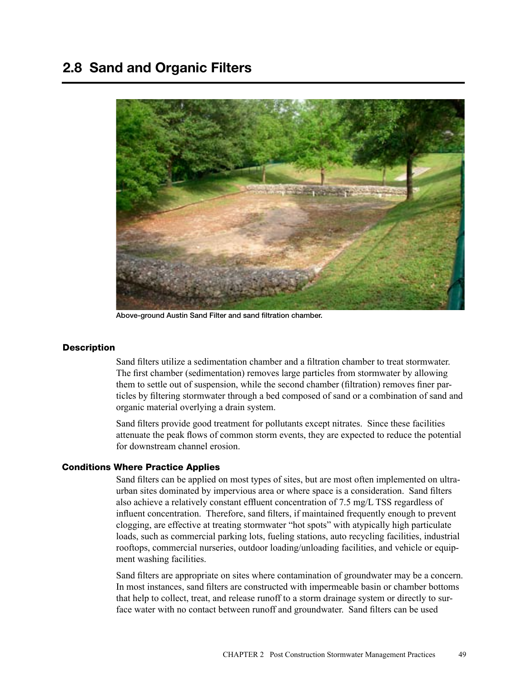

Above-ground Austin Sand Filter and sand filtration chamber.

# **Description**

Sand filters utilize a sedimentation chamber and a filtration chamber to treat stormwater. The first chamber (sedimentation) removes large particles from stormwater by allowing them to settle out of suspension, while the second chamber (filtration) removes finer particles by filtering stormwater through a bed composed of sand or a combination of sand and organic material overlying a drain system.

Sand filters provide good treatment for pollutants except nitrates. Since these facilities attenuate the peak flows of common storm events, they are expected to reduce the potential for downstream channel erosion.

# Conditions Where Practice Applies

Sand filters can be applied on most types of sites, but are most often implemented on ultraurban sites dominated by impervious area or where space is a consideration. Sand filters also achieve a relatively constant effluent concentration of 7.5 mg/L TSS regardless of influent concentration. Therefore, sand filters, if maintained frequently enough to prevent clogging, are effective at treating stormwater "hot spots" with atypically high particulate loads, such as commercial parking lots, fueling stations, auto recycling facilities, industrial rooftops, commercial nurseries, outdoor loading/unloading facilities, and vehicle or equipment washing facilities.

Sand filters are appropriate on sites where contamination of groundwater may be a concern. In most instances, sand filters are constructed with impermeable basin or chamber bottoms that help to collect, treat, and release runoff to a storm drainage system or directly to surface water with no contact between runoff and groundwater. Sand filters can be used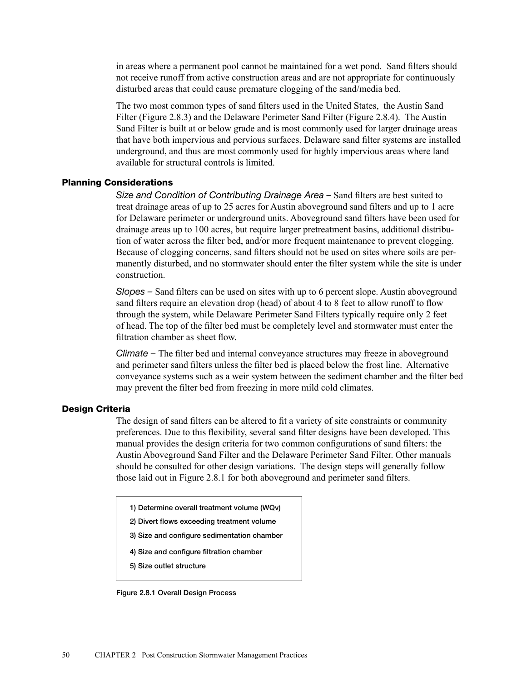in areas where a permanent pool cannot be maintained for a wet pond. Sand filters should not receive runoff from active construction areas and are not appropriate for continuously disturbed areas that could cause premature clogging of the sand/media bed.

The two most common types of sand filters used in the United States, the Austin Sand Filter (Figure 2.8.3) and the Delaware Perimeter Sand Filter (Figure 2.8.4). The Austin Sand Filter is built at or below grade and is most commonly used for larger drainage areas that have both impervious and pervious surfaces. Delaware sand filter systems are installed underground, and thus are most commonly used for highly impervious areas where land available for structural controls is limited.

# Planning Considerations

*Size and Condition of Contributing Drainage Area –* Sand filters are best suited to treat drainage areas of up to 25 acres for Austin aboveground sand filters and up to 1 acre for Delaware perimeter or underground units. Aboveground sand filters have been used for drainage areas up to 100 acres, but require larger pretreatment basins, additional distribution of water across the filter bed, and/or more frequent maintenance to prevent clogging. Because of clogging concerns, sand filters should not be used on sites where soils are permanently disturbed, and no stormwater should enter the filter system while the site is under construction.

*Slopes –* Sand filters can be used on sites with up to 6 percent slope. Austin aboveground sand filters require an elevation drop (head) of about 4 to 8 feet to allow runoff to flow through the system, while Delaware Perimeter Sand Filters typically require only 2 feet of head. The top of the filter bed must be completely level and stormwater must enter the filtration chamber as sheet flow.

*Climate –* The filter bed and internal conveyance structures may freeze in aboveground and perimeter sand filters unless the filter bed is placed below the frost line. Alternative conveyance systems such as a weir system between the sediment chamber and the filter bed may prevent the filter bed from freezing in more mild cold climates.

### Design Criteria

The design of sand filters can be altered to fit a variety of site constraints or community preferences. Due to this flexibility, several sand filter designs have been developed. This manual provides the design criteria for two common configurations of sand filters: the Austin Aboveground Sand Filter and the Delaware Perimeter Sand Filter. Other manuals should be consulted for other design variations. The design steps will generally follow those laid out in Figure 2.8.1 for both aboveground and perimeter sand filters.

1) Determine overall treatment volume (WQv)

- 2) Divert flows exceeding treatment volume
- 3) Size and configure sedimentation chamber
- 4) Size and configure filtration chamber

5) Size outlet structure

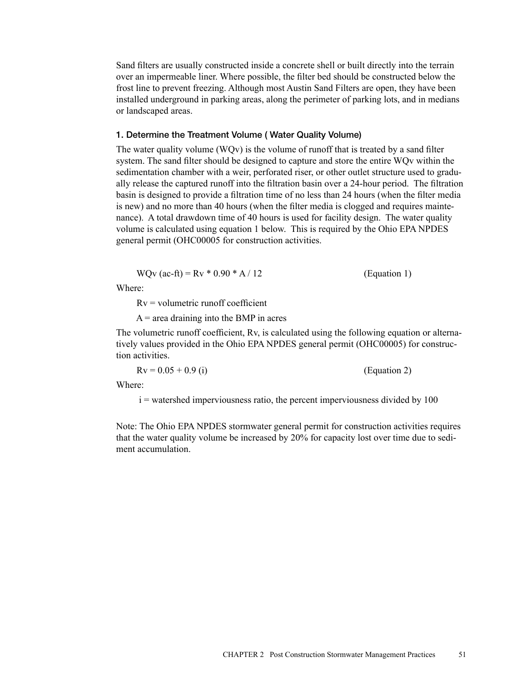Sand filters are usually constructed inside a concrete shell or built directly into the terrain over an impermeable liner. Where possible, the filter bed should be constructed below the frost line to prevent freezing. Although most Austin Sand Filters are open, they have been installed underground in parking areas, along the perimeter of parking lots, and in medians or landscaped areas.

## 1. Determine the Treatment Volume ( Water Quality Volume)

The water quality volume (WQv) is the volume of runoff that is treated by a sand filter system. The sand filter should be designed to capture and store the entire WQv within the sedimentation chamber with a weir, perforated riser, or other outlet structure used to gradually release the captured runoff into the filtration basin over a 24-hour period. The filtration basin is designed to provide a filtration time of no less than 24 hours (when the filter media is new) and no more than 40 hours (when the filter media is clogged and requires maintenance). A total drawdown time of 40 hours is used for facility design. The water quality volume is calculated using equation 1 below. This is required by the Ohio EPA NPDES general permit (OHC00005 for construction activities.

$$
WQv (ac-fit) = Rv * 0.90 * A / 12
$$
 (Equation 1)

Where:

 $Rv =$  volumetric runoff coefficient

 $A$  = area draining into the BMP in acres

The volumetric runoff coefficient, Rv, is calculated using the following equation or alternatively values provided in the Ohio EPA NPDES general permit (OHC00005) for construction activities.

 $Rv = 0.05 + 0.9$  (i) (Equation 2)

Where:

i = watershed imperviousness ratio, the percent imperviousness divided by 100

Note: The Ohio EPA NPDES stormwater general permit for construction activities requires that the water quality volume be increased by 20% for capacity lost over time due to sediment accumulation.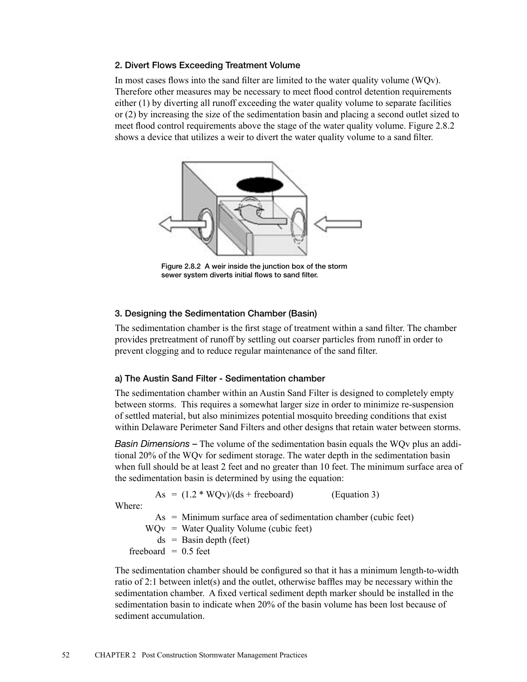# 2. Divert Flows Exceeding Treatment Volume

In most cases flows into the sand filter are limited to the water quality volume (WQv). Therefore other measures may be necessary to meet flood control detention requirements either (1) by diverting all runoff exceeding the water quality volume to separate facilities or (2) by increasing the size of the sedimentation basin and placing a second outlet sized to meet flood control requirements above the stage of the water quality volume. Figure 2.8.2 shows a device that utilizes a weir to divert the water quality volume to a sand filter.



Figure 2.8.2 A weir inside the junction box of the storm sewer system diverts initial flows to sand filter.

# 3. Designing the Sedimentation Chamber (Basin)

The sedimentation chamber is the first stage of treatment within a sand filter. The chamber provides pretreatment of runoff by settling out coarser particles from runoff in order to prevent clogging and to reduce regular maintenance of the sand filter.

# a) The Austin Sand Filter - Sedimentation chamber

The sedimentation chamber within an Austin Sand Filter is designed to completely empty between storms. This requires a somewhat larger size in order to minimize re-suspension of settled material, but also minimizes potential mosquito breeding conditions that exist within Delaware Perimeter Sand Filters and other designs that retain water between storms.

*Basin Dimensions –* The volume of the sedimentation basin equals the WQv plus an additional 20% of the WQv for sediment storage. The water depth in the sedimentation basin when full should be at least 2 feet and no greater than 10 feet. The minimum surface area of the sedimentation basin is determined by using the equation:

As  $= (1.2 * WQv)/(ds + freeboard)$  (Equation 3)

Where:

As = Minimum surface area of sedimentation chamber (cubic feet)  $WQv = Water Quality Volume (cubic feet)$  $ds =$ Basin depth (feet) freeboard  $= 0.5$  feet

The sedimentation chamber should be configured so that it has a minimum length-to-width ratio of 2:1 between inlet(s) and the outlet, otherwise baffles may be necessary within the sedimentation chamber. A fixed vertical sediment depth marker should be installed in the sedimentation basin to indicate when 20% of the basin volume has been lost because of sediment accumulation.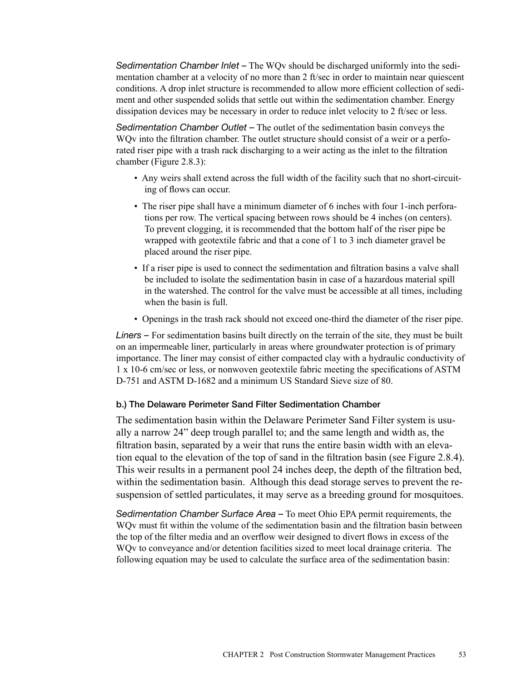*Sedimentation Chamber Inlet –* The WQv should be discharged uniformly into the sedimentation chamber at a velocity of no more than 2 ft/sec in order to maintain near quiescent conditions. A drop inlet structure is recommended to allow more efficient collection of sediment and other suspended solids that settle out within the sedimentation chamber. Energy dissipation devices may be necessary in order to reduce inlet velocity to 2 ft/sec or less.

*Sedimentation Chamber Outlet –* The outlet of the sedimentation basin conveys the WOv into the filtration chamber. The outlet structure should consist of a weir or a perforated riser pipe with a trash rack discharging to a weir acting as the inlet to the filtration chamber (Figure 2.8.3):

- Any weirs shall extend across the full width of the facility such that no short-circuiting of flows can occur.
- The riser pipe shall have a minimum diameter of 6 inches with four 1-inch perforations per row. The vertical spacing between rows should be 4 inches (on centers). To prevent clogging, it is recommended that the bottom half of the riser pipe be wrapped with geotextile fabric and that a cone of 1 to 3 inch diameter gravel be placed around the riser pipe.
- If a riser pipe is used to connect the sedimentation and filtration basins a valve shall be included to isolate the sedimentation basin in case of a hazardous material spill in the watershed. The control for the valve must be accessible at all times, including when the basin is full.
- Openings in the trash rack should not exceed one-third the diameter of the riser pipe.

*Liners –* For sedimentation basins built directly on the terrain of the site, they must be built on an impermeable liner, particularly in areas where groundwater protection is of primary importance. The liner may consist of either compacted clay with a hydraulic conductivity of 1 x 10-6 cm/sec or less, or nonwoven geotextile fabric meeting the specifications of ASTM D-751 and ASTM D-1682 and a minimum US Standard Sieve size of 80.

# b.) The Delaware Perimeter Sand Filter Sedimentation Chamber

The sedimentation basin within the Delaware Perimeter Sand Filter system is usually a narrow 24" deep trough parallel to; and the same length and width as, the filtration basin, separated by a weir that runs the entire basin width with an elevation equal to the elevation of the top of sand in the filtration basin (see Figure 2.8.4). This weir results in a permanent pool 24 inches deep, the depth of the filtration bed, within the sedimentation basin. Although this dead storage serves to prevent the resuspension of settled particulates, it may serve as a breeding ground for mosquitoes.

*Sedimentation Chamber Surface Area –* To meet Ohio EPA permit requirements, the WQv must fit within the volume of the sedimentation basin and the filtration basin between the top of the filter media and an overflow weir designed to divert flows in excess of the WQv to conveyance and/or detention facilities sized to meet local drainage criteria. The following equation may be used to calculate the surface area of the sedimentation basin: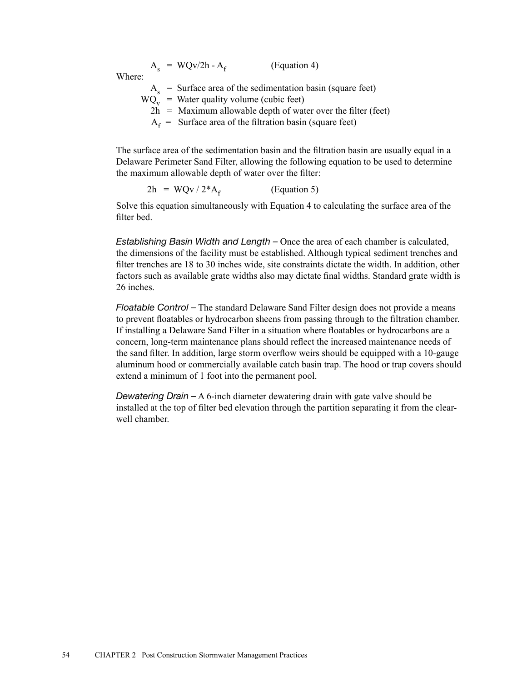$A_s$  = WQv/2h -  $A_f$  (Equation 4) Where:  $A_s$  = Surface area of the sedimentation basin (square feet)  $WQ_v = Water$  quality volume (cubic feet)  $2h$  = Maximum allowable depth of water over the filter (feet)  $A_f$  = Surface area of the filtration basin (square feet)

The surface area of the sedimentation basin and the filtration basin are usually equal in a Delaware Perimeter Sand Filter, allowing the following equation to be used to determine the maximum allowable depth of water over the filter:

$$
2h = WQv / 2*A_f
$$
 (Equation 5)

Solve this equation simultaneously with Equation 4 to calculating the surface area of the filter bed.

*Establishing Basin Width and Length –* Once the area of each chamber is calculated, the dimensions of the facility must be established. Although typical sediment trenches and filter trenches are 18 to 30 inches wide, site constraints dictate the width. In addition, other factors such as available grate widths also may dictate final widths. Standard grate width is 26 inches.

*Floatable Control –* The standard Delaware Sand Filter design does not provide a means to prevent floatables or hydrocarbon sheens from passing through to the filtration chamber. If installing a Delaware Sand Filter in a situation where floatables or hydrocarbons are a concern, long-term maintenance plans should reflect the increased maintenance needs of the sand filter. In addition, large storm overflow weirs should be equipped with a 10-gauge aluminum hood or commercially available catch basin trap. The hood or trap covers should extend a minimum of 1 foot into the permanent pool.

*Dewatering Drain –* A 6-inch diameter dewatering drain with gate valve should be installed at the top of filter bed elevation through the partition separating it from the clearwell chamber.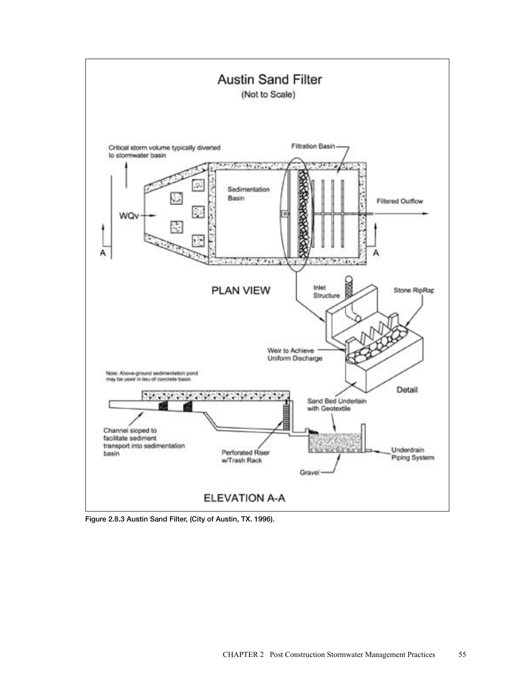

Figure 2.8.3 Austin Sand Filter, (City of Austin, TX. 1996).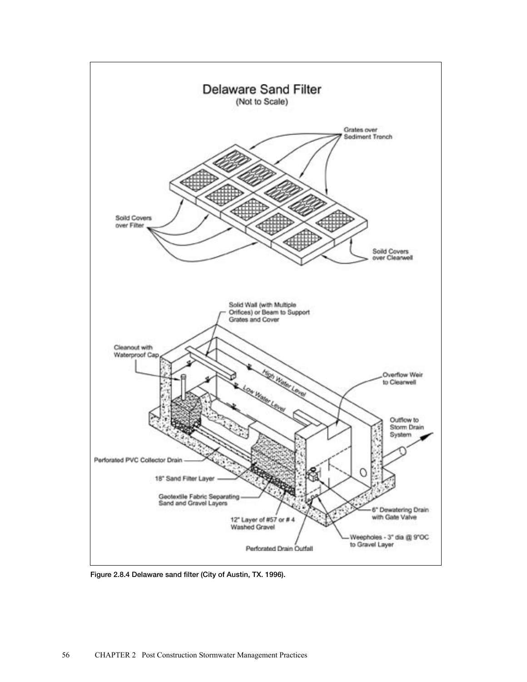

Figure 2.8.4 Delaware sand filter (City of Austin, TX. 1996).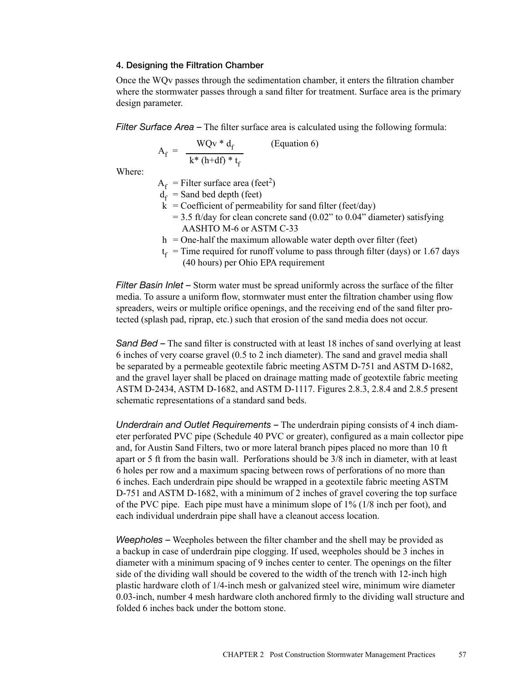#### 4. Designing the Filtration Chamber

Once the WQv passes through the sedimentation chamber, it enters the filtration chamber where the stormwater passes through a sand filter for treatment. Surface area is the primary design parameter.

*Filter Surface Area –* The filter surface area is calculated using the following formula:

$$
A_{f} = \frac{WQv * d_{f}}{k * (h + df) * t_{f}}
$$
 (Equation 6)

Where:

 $A_f$  = Filter surface area (feet<sup>2</sup>)

- $\mathbf{d}_{\mathbf{f}}$  = Sand bed depth (feet)
- $k =$  Coefficient of permeability for sand filter (feet/day)
	- $= 3.5$  ft/day for clean concrete sand (0.02" to 0.04" diameter) satisfying AASHTO M-6 or ASTM C-33
- $h =$ One-half the maximum allowable water depth over filter (feet)
- $t_f$  = Time required for runoff volume to pass through filter (days) or 1.67 days (40 hours) per Ohio EPA requirement

*Filter Basin Inlet –* Storm water must be spread uniformly across the surface of the filter media. To assure a uniform flow, stormwater must enter the filtration chamber using flow spreaders, weirs or multiple orifice openings, and the receiving end of the sand filter protected (splash pad, riprap, etc.) such that erosion of the sand media does not occur.

*Sand Bed –* The sand filter is constructed with at least 18 inches of sand overlying at least 6 inches of very coarse gravel (0.5 to 2 inch diameter). The sand and gravel media shall be separated by a permeable geotextile fabric meeting ASTM D-751 and ASTM D-1682, and the gravel layer shall be placed on drainage matting made of geotextile fabric meeting ASTM D-2434, ASTM D-1682, and ASTM D-1117. Figures 2.8.3, 2.8.4 and 2.8.5 present schematic representations of a standard sand beds.

*Underdrain and Outlet Requirements –* The underdrain piping consists of 4 inch diameter perforated PVC pipe (Schedule 40 PVC or greater), configured as a main collector pipe and, for Austin Sand Filters, two or more lateral branch pipes placed no more than 10 ft apart or 5 ft from the basin wall. Perforations should be 3/8 inch in diameter, with at least 6 holes per row and a maximum spacing between rows of perforations of no more than 6 inches. Each underdrain pipe should be wrapped in a geotextile fabric meeting ASTM D-751 and ASTM D-1682, with a minimum of 2 inches of gravel covering the top surface of the PVC pipe. Each pipe must have a minimum slope of 1% (1/8 inch per foot), and each individual underdrain pipe shall have a cleanout access location.

*Weepholes –* Weepholes between the filter chamber and the shell may be provided as a backup in case of underdrain pipe clogging. If used, weepholes should be 3 inches in diameter with a minimum spacing of 9 inches center to center. The openings on the filter side of the dividing wall should be covered to the width of the trench with 12-inch high plastic hardware cloth of 1/4-inch mesh or galvanized steel wire, minimum wire diameter 0.03-inch, number 4 mesh hardware cloth anchored firmly to the dividing wall structure and folded 6 inches back under the bottom stone.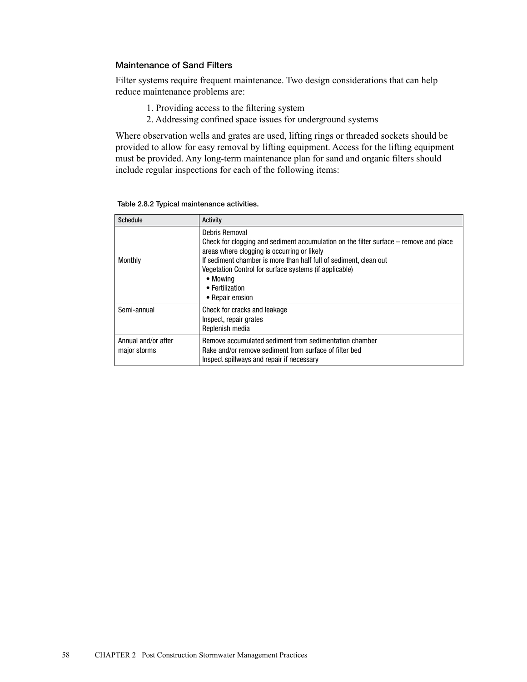# Maintenance of Sand Filters

Filter systems require frequent maintenance. Two design considerations that can help reduce maintenance problems are:

- 1. Providing access to the filtering system
- 2. Addressing confined space issues for underground systems

Where observation wells and grates are used, lifting rings or threaded sockets should be provided to allow for easy removal by lifting equipment. Access for the lifting equipment must be provided. Any long-term maintenance plan for sand and organic filters should include regular inspections for each of the following items:

| <b>Schedule</b>                     | <b>Activity</b>                                                                                                                                                                                                                                                                                                                          |
|-------------------------------------|------------------------------------------------------------------------------------------------------------------------------------------------------------------------------------------------------------------------------------------------------------------------------------------------------------------------------------------|
| Monthly                             | Debris Removal<br>Check for clogging and sediment accumulation on the filter surface – remove and place<br>areas where clogging is occurring or likely<br>If sediment chamber is more than half full of sediment, clean out<br>Vegetation Control for surface systems (if applicable)<br>• Mowing<br>• Fertilization<br>• Repair erosion |
| Semi-annual                         | Check for cracks and leakage<br>Inspect, repair grates<br>Replenish media                                                                                                                                                                                                                                                                |
| Annual and/or after<br>major storms | Remove accumulated sediment from sedimentation chamber<br>Rake and/or remove sediment from surface of filter bed<br>Inspect spillways and repair if necessary                                                                                                                                                                            |

Table 2.8.2 Typical maintenance activities.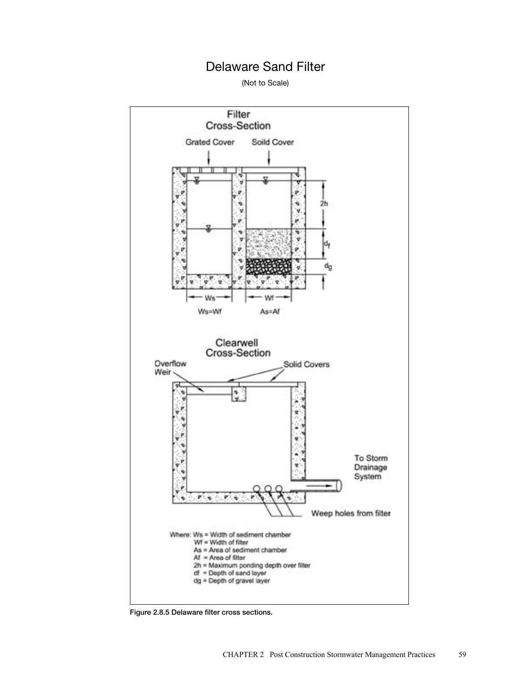# Delaware Sand Filter

(Not to Scale)



Figure 2.8.5 Delaware filter cross sections.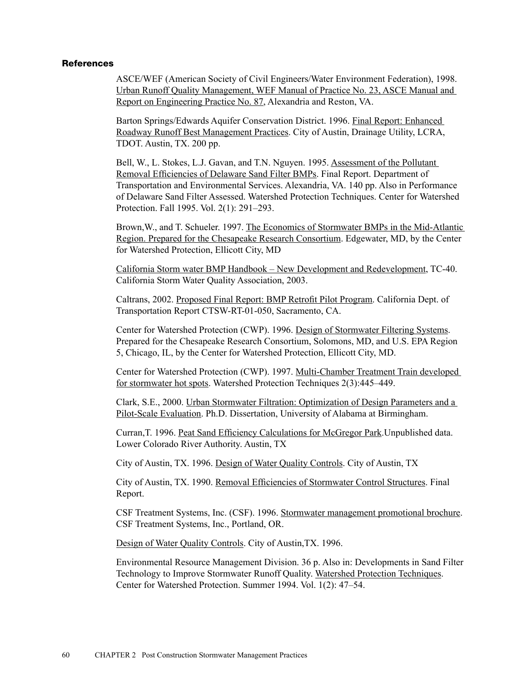## **References**

ASCE/WEF (American Society of Civil Engineers/Water Environment Federation), 1998. Urban Runoff Quality Management, WEF Manual of Practice No. 23, ASCE Manual and Report on Engineering Practice No. 87, Alexandria and Reston, VA.

Barton Springs/Edwards Aquifer Conservation District. 1996. Final Report: Enhanced Roadway Runoff Best Management Practices. City of Austin, Drainage Utility, LCRA, TDOT. Austin, TX. 200 pp.

Bell, W., L. Stokes, L.J. Gavan, and T.N. Nguyen. 1995. Assessment of the Pollutant Removal Efficiencies of Delaware Sand Filter BMPs. Final Report. Department of Transportation and Environmental Services. Alexandria, VA. 140 pp. Also in Performance of Delaware Sand Filter Assessed. Watershed Protection Techniques. Center for Watershed Protection. Fall 1995. Vol. 2(1): 291–293.

Brown,W., and T. Schueler. 1997. The Economics of Stormwater BMPs in the Mid-Atlantic Region. Prepared for the Chesapeake Research Consortium. Edgewater, MD, by the Center for Watershed Protection, Ellicott City, MD

California Storm water BMP Handbook – New Development and Redevelopment, TC-40. California Storm Water Quality Association, 2003.

Caltrans, 2002. Proposed Final Report: BMP Retrofit Pilot Program. California Dept. of Transportation Report CTSW-RT-01-050, Sacramento, CA.

Center for Watershed Protection (CWP). 1996. Design of Stormwater Filtering Systems. Prepared for the Chesapeake Research Consortium, Solomons, MD, and U.S. EPA Region 5, Chicago, IL, by the Center for Watershed Protection, Ellicott City, MD.

Center for Watershed Protection (CWP). 1997. Multi-Chamber Treatment Train developed for stormwater hot spots. Watershed Protection Techniques 2(3):445–449.

Clark, S.E., 2000. Urban Stormwater Filtration: Optimization of Design Parameters and a Pilot-Scale Evaluation. Ph.D. Dissertation, University of Alabama at Birmingham.

Curran,T. 1996. Peat Sand Efficiency Calculations for McGregor Park.Unpublished data. Lower Colorado River Authority. Austin, TX

City of Austin, TX. 1996. Design of Water Quality Controls. City of Austin, TX

City of Austin, TX. 1990. Removal Efficiencies of Stormwater Control Structures. Final Report.

CSF Treatment Systems, Inc. (CSF). 1996. Stormwater management promotional brochure. CSF Treatment Systems, Inc., Portland, OR.

Design of Water Quality Controls. City of Austin,TX. 1996.

Environmental Resource Management Division. 36 p. Also in: Developments in Sand Filter Technology to Improve Stormwater Runoff Quality. Watershed Protection Techniques. Center for Watershed Protection. Summer 1994. Vol. 1(2): 47–54.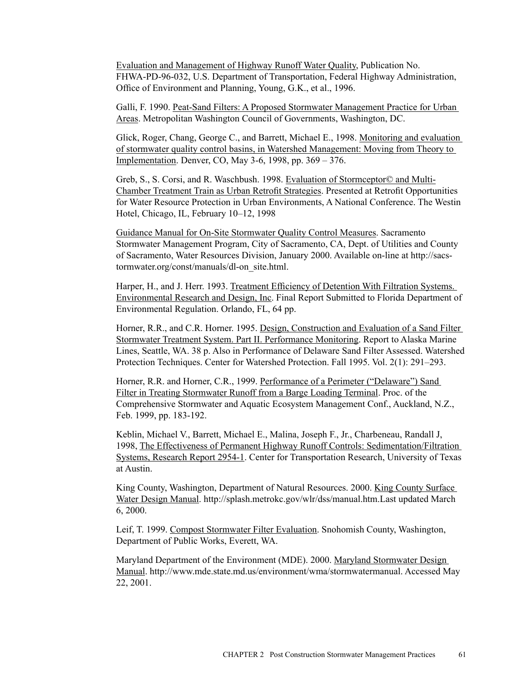Evaluation and Management of Highway Runoff Water Quality, Publication No. FHWA-PD-96-032, U.S. Department of Transportation, Federal Highway Administration, Office of Environment and Planning, Young, G.K., et al., 1996.

Galli, F. 1990. Peat-Sand Filters: A Proposed Stormwater Management Practice for Urban Areas. Metropolitan Washington Council of Governments, Washington, DC.

Glick, Roger, Chang, George C., and Barrett, Michael E., 1998. Monitoring and evaluation of stormwater quality control basins, in Watershed Management: Moving from Theory to Implementation. Denver, CO, May 3-6, 1998, pp. 369 – 376.

Greb, S., S. Corsi, and R. Waschbush. 1998. Evaluation of Stormceptor© and Multi-Chamber Treatment Train as Urban Retrofit Strategies. Presented at Retrofit Opportunities for Water Resource Protection in Urban Environments, A National Conference. The Westin Hotel, Chicago, IL, February 10–12, 1998

Guidance Manual for On-Site Stormwater Quality Control Measures. Sacramento Stormwater Management Program, City of Sacramento, CA, Dept. of Utilities and County of Sacramento, Water Resources Division, January 2000. Available on-line at http://sacstormwater.org/const/manuals/dl-on\_site.html.

Harper, H., and J. Herr. 1993. Treatment Efficiency of Detention With Filtration Systems. Environmental Research and Design, Inc. Final Report Submitted to Florida Department of Environmental Regulation. Orlando, FL, 64 pp.

Horner, R.R., and C.R. Horner. 1995. Design, Construction and Evaluation of a Sand Filter Stormwater Treatment System. Part II. Performance Monitoring. Report to Alaska Marine Lines, Seattle, WA. 38 p. Also in Performance of Delaware Sand Filter Assessed. Watershed Protection Techniques. Center for Watershed Protection. Fall 1995. Vol. 2(1): 291–293.

Horner, R.R. and Horner, C.R., 1999. Performance of a Perimeter ("Delaware") Sand Filter in Treating Stormwater Runoff from a Barge Loading Terminal. Proc. of the Comprehensive Stormwater and Aquatic Ecosystem Management Conf., Auckland, N.Z., Feb. 1999, pp. 183-192.

Keblin, Michael V., Barrett, Michael E., Malina, Joseph F., Jr., Charbeneau, Randall J, 1998, The Effectiveness of Permanent Highway Runoff Controls: Sedimentation/Filtration Systems, Research Report 2954-1. Center for Transportation Research, University of Texas at Austin.

King County, Washington, Department of Natural Resources. 2000. King County Surface Water Design Manual. http://splash.metrokc.gov/wlr/dss/manual.htm.Last updated March 6, 2000.

Leif, T. 1999. Compost Stormwater Filter Evaluation. Snohomish County, Washington, Department of Public Works, Everett, WA.

Maryland Department of the Environment (MDE). 2000. Maryland Stormwater Design Manual. http://www.mde.state.md.us/environment/wma/stormwatermanual. Accessed May 22, 2001.